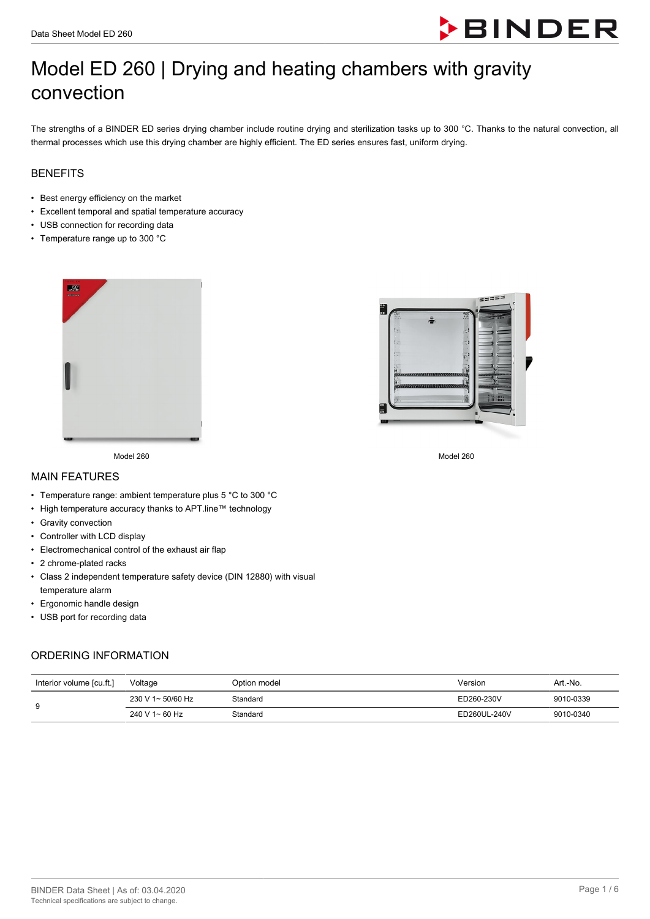

# Model ED 260 | Drying and heating chambers with gravity convection

The strengths of a BINDER ED series drying chamber include routine drying and sterilization tasks up to 300 °C. Thanks to the natural convection, all thermal processes which use this drying chamber are highly efficient. The ED series ensures fast, uniform drying.

## BENEFITS

- Best energy efficiency on the market
- Excellent temporal and spatial temperature accuracy
- USB connection for recording data
- Temperature range up to 300 °C





Model 260 Model 260

#### MAIN FEATURES

- Temperature range: ambient temperature plus 5 °C to 300 °C
- High temperature accuracy thanks to APT.line™ technology
- Gravity convection
- Controller with LCD display
- Electromechanical control of the exhaust air flap
- 2 chrome-plated racks
- Class 2 independent temperature safety device (DIN 12880) with visual temperature alarm
- Ergonomic handle design
- USB port for recording data

## ORDERING INFORMATION

| Interior volume [cu.ft.] | Voltage           | Option model | Version      | Art.-No.  |
|--------------------------|-------------------|--------------|--------------|-----------|
| 9                        | 230 V 1~ 50/60 Hz | Standard     | ED260-230V   | 9010-0339 |
|                          | 240 V 1~ 60 Hz    | Standard     | ED260UL-240V | 9010-0340 |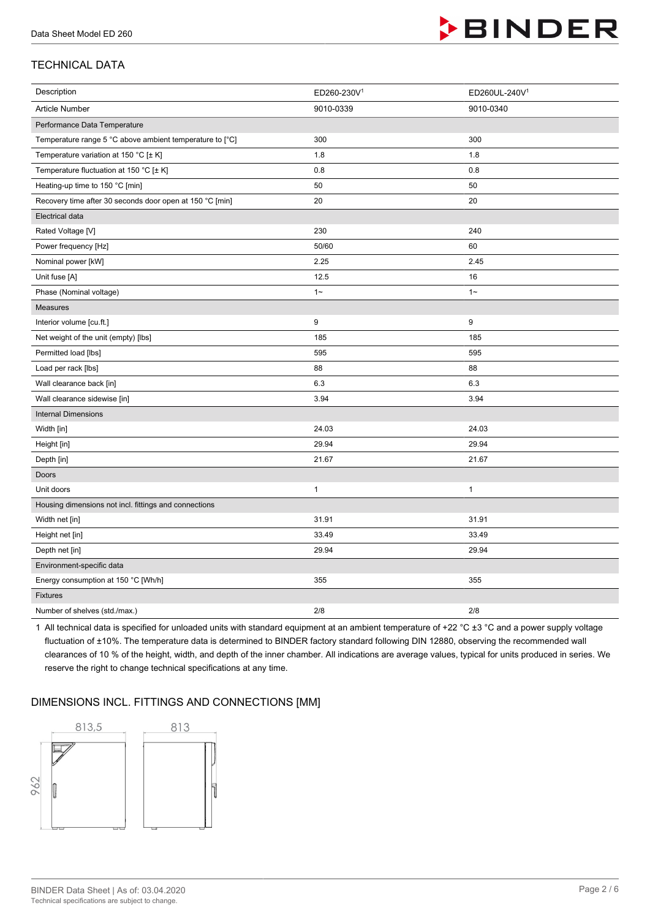

## TECHNICAL DATA

| Description                                              | ED260-230V <sup>1</sup> | ED260UL-240V1 |  |
|----------------------------------------------------------|-------------------------|---------------|--|
| Article Number                                           | 9010-0339               | 9010-0340     |  |
| Performance Data Temperature                             |                         |               |  |
| Temperature range 5 °C above ambient temperature to [°C] | 300                     | 300           |  |
| Temperature variation at 150 °C [± K]                    | 1.8                     | 1.8           |  |
| Temperature fluctuation at 150 °C [± K]                  | 0.8                     | 0.8           |  |
| Heating-up time to 150 °C [min]                          | 50                      | 50            |  |
| Recovery time after 30 seconds door open at 150 °C [min] | 20                      | 20            |  |
| <b>Electrical data</b>                                   |                         |               |  |
| Rated Voltage [V]                                        | 230                     | 240           |  |
| Power frequency [Hz]                                     | 50/60                   | 60            |  |
| Nominal power [kW]                                       | 2.25                    | 2.45          |  |
| Unit fuse [A]                                            | 12.5                    | 16            |  |
| Phase (Nominal voltage)                                  | $1 -$                   | $1 -$         |  |
| Measures                                                 |                         |               |  |
| Interior volume [cu.ft.]                                 | 9                       | 9             |  |
| Net weight of the unit (empty) [lbs]                     | 185                     | 185           |  |
| Permitted load [lbs]                                     | 595                     | 595           |  |
| Load per rack [lbs]                                      | 88                      | 88            |  |
| Wall clearance back [in]                                 | 6.3                     | 6.3           |  |
| Wall clearance sidewise [in]                             | 3.94                    | 3.94          |  |
| <b>Internal Dimensions</b>                               |                         |               |  |
| Width [in]                                               | 24.03                   | 24.03         |  |
| Height [in]                                              | 29.94                   | 29.94         |  |
| Depth [in]                                               | 21.67                   | 21.67         |  |
| Doors                                                    |                         |               |  |
| Unit doors                                               | $\mathbf{1}$            | $\mathbf{1}$  |  |
| Housing dimensions not incl. fittings and connections    |                         |               |  |
| Width net [in]                                           | 31.91                   | 31.91         |  |
| Height net [in]                                          | 33.49                   | 33.49         |  |
| Depth net [in]                                           | 29.94                   | 29.94         |  |
| Environment-specific data                                |                         |               |  |
| Energy consumption at 150 °C [Wh/h]                      | 355                     | 355           |  |
| Fixtures                                                 |                         |               |  |
| Number of shelves (std./max.)                            | 2/8                     | 2/8           |  |

1 All technical data is specified for unloaded units with standard equipment at an ambient temperature of +22  $^{\circ}$ C ±3  $^{\circ}$ C and a power supply voltage fluctuation of ±10%. The temperature data is determined to BINDER factory standard following DIN 12880, observing the recommended wall clearances of 10 % of the height, width, and depth of the inner chamber. All indications are average values, typical for units produced in series. We reserve the right to change technical specifications at any time.

## DIMENSIONS INCL. FITTINGS AND CONNECTIONS [MM]

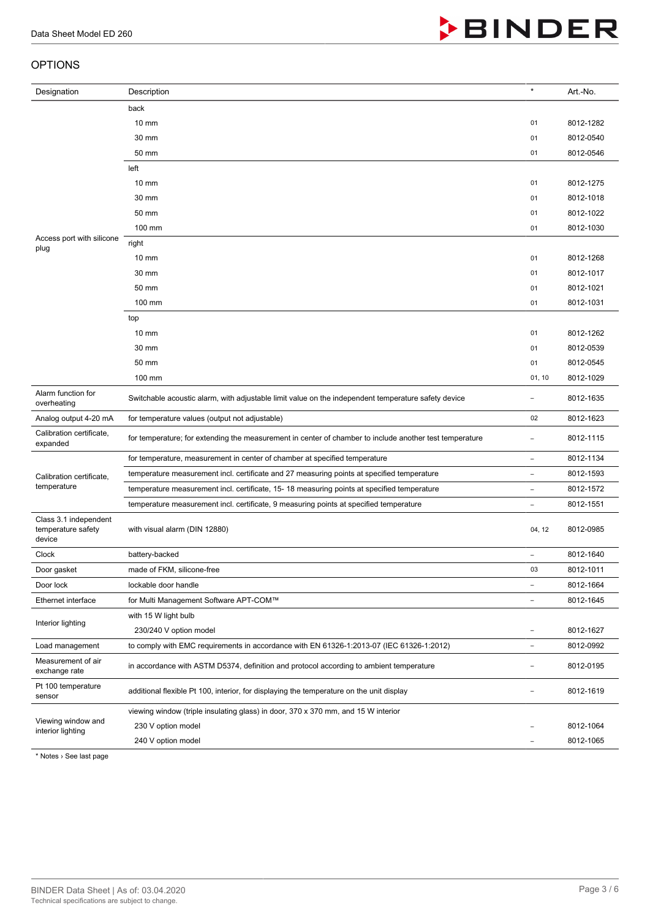#### **OPTION**

| <b>BINDER</b><br>Data Sheet Model ED 260              |                                                                                                         |                          |           |
|-------------------------------------------------------|---------------------------------------------------------------------------------------------------------|--------------------------|-----------|
| OPTIONS                                               |                                                                                                         |                          |           |
| Designation                                           | Description                                                                                             | $\star$                  | Art.-No.  |
|                                                       | back                                                                                                    |                          |           |
|                                                       | $10 \text{ mm}$                                                                                         | 01                       | 8012-1282 |
|                                                       | 30 mm                                                                                                   | 01                       | 8012-0540 |
|                                                       | 50 mm                                                                                                   | 01                       | 8012-0546 |
|                                                       | left                                                                                                    |                          |           |
|                                                       | $10 \text{ mm}$                                                                                         | 01                       | 8012-1275 |
|                                                       | 30 mm                                                                                                   | 01                       | 8012-1018 |
|                                                       | 50 mm                                                                                                   | 01                       | 8012-1022 |
|                                                       | 100 mm                                                                                                  | 01                       | 8012-1030 |
| Access port with silicone<br>plug                     | right                                                                                                   |                          |           |
|                                                       | $10 \text{ mm}$                                                                                         | 01                       | 8012-1268 |
|                                                       | 30 mm                                                                                                   | 01                       | 8012-1017 |
|                                                       | 50 mm                                                                                                   | 01                       | 8012-1021 |
|                                                       | 100 mm                                                                                                  | 01                       | 8012-1031 |
|                                                       | top                                                                                                     |                          |           |
|                                                       | $10 \text{ mm}$                                                                                         | 01                       | 8012-1262 |
|                                                       | 30 mm                                                                                                   | 01                       | 8012-0539 |
|                                                       | 50 mm                                                                                                   | 01                       | 8012-0545 |
|                                                       | 100 mm                                                                                                  | 01, 10                   | 8012-1029 |
| Alarm function for<br>overheating                     | Switchable acoustic alarm, with adjustable limit value on the independent temperature safety device     | -                        | 8012-1635 |
| Analog output 4-20 mA                                 | for temperature values (output not adjustable)                                                          | 02                       | 8012-1623 |
| Calibration certificate,<br>expanded                  | for temperature; for extending the measurement in center of chamber to include another test temperature |                          | 8012-1115 |
|                                                       | for temperature, measurement in center of chamber at specified temperature                              | $\overline{a}$           | 8012-1134 |
| Calibration certificate,                              | temperature measurement incl. certificate and 27 measuring points at specified temperature              | $\overline{\phantom{0}}$ | 8012-1593 |
| temperature                                           | temperature measurement incl. certificate, 15-18 measuring points at specified temperature              | $\overline{\phantom{0}}$ | 8012-1572 |
|                                                       | temperature measurement incl. certificate, 9 measuring points at specified temperature                  |                          | 8012-1551 |
| Class 3.1 independent<br>temperature safety<br>device | with visual alarm (DIN 12880)                                                                           | 04, 12                   | 8012-0985 |
| Clock                                                 | battery-backed                                                                                          | $\overline{\phantom{0}}$ | 8012-1640 |
| Door gasket                                           | made of FKM, silicone-free                                                                              | 03                       | 8012-1011 |
| Door lock                                             | lockable door handle                                                                                    | $\overline{\phantom{0}}$ | 8012-1664 |
| Ethernet interface                                    | for Multi Management Software APT-COM™                                                                  | $\overline{\phantom{0}}$ | 8012-1645 |
|                                                       | with 15 W light bulb                                                                                    |                          |           |
| Interior lighting                                     | 230/240 V option model                                                                                  | $\overline{a}$           | 8012-1627 |
| Load management                                       | to comply with EMC requirements in accordance with EN 61326-1:2013-07 (IEC 61326-1:2012)                | $\overline{\phantom{0}}$ | 8012-0992 |
| Measurement of air<br>exchange rate                   | in accordance with ASTM D5374, definition and protocol according to ambient temperature                 |                          | 8012-0195 |
|                                                       |                                                                                                         |                          |           |

| Pt 100 temperature<br>sensor            | additional flexible Pt 100, interior, for displaying the temperature on the unit display | - | 8012-1619 |
|-----------------------------------------|------------------------------------------------------------------------------------------|---|-----------|
| Viewing window and<br>interior lighting | viewing window (triple insulating glass) in door, 370 x 370 mm, and 15 W interior        |   |           |
|                                         | 230 V option model                                                                       | - | 8012-1064 |
|                                         | 240 V option model                                                                       | - | 8012-1065 |

\* Notes › See last page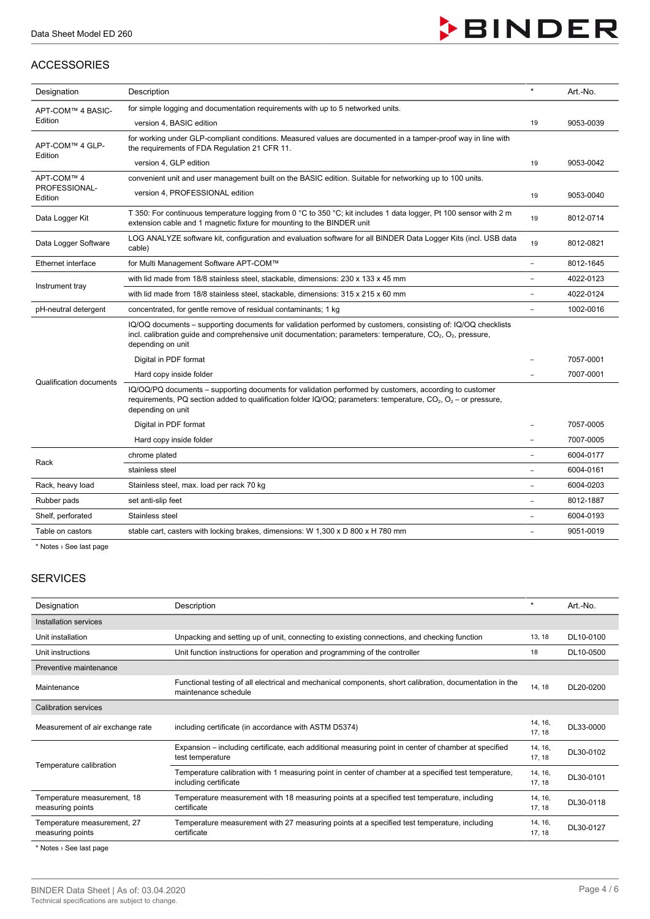## ACCESSORIES



| Designation                    | Description                                                                                                                                                                                                                                                           | $\star$                  | Art.-No.  |
|--------------------------------|-----------------------------------------------------------------------------------------------------------------------------------------------------------------------------------------------------------------------------------------------------------------------|--------------------------|-----------|
| APT-COM™ 4 BASIC-              | for simple logging and documentation requirements with up to 5 networked units.                                                                                                                                                                                       |                          |           |
| Edition                        | version 4, BASIC edition                                                                                                                                                                                                                                              | 19                       | 9053-0039 |
| APT-COM™ 4 GLP-                | for working under GLP-compliant conditions. Measured values are documented in a tamper-proof way in line with<br>the requirements of FDA Regulation 21 CFR 11.                                                                                                        |                          |           |
| Edition                        | version 4, GLP edition                                                                                                                                                                                                                                                | 19                       | 9053-0042 |
| APT-COM™ 4                     | convenient unit and user management built on the BASIC edition. Suitable for networking up to 100 units.                                                                                                                                                              |                          |           |
| PROFESSIONAL-<br>Edition       | version 4, PROFESSIONAL edition                                                                                                                                                                                                                                       | 19                       | 9053-0040 |
| Data Logger Kit                | T 350: For continuous temperature logging from 0 °C to 350 °C; kit includes 1 data logger, Pt 100 sensor with 2 m<br>extension cable and 1 magnetic fixture for mounting to the BINDER unit                                                                           |                          | 8012-0714 |
| Data Logger Software           | LOG ANALYZE software kit, configuration and evaluation software for all BINDER Data Logger Kits (incl. USB data<br>cable)                                                                                                                                             |                          | 8012-0821 |
| Ethernet interface             | for Multi Management Software APT-COM™                                                                                                                                                                                                                                | $\overline{a}$           | 8012-1645 |
|                                | with lid made from 18/8 stainless steel, stackable, dimensions: 230 x 133 x 45 mm                                                                                                                                                                                     |                          | 4022-0123 |
| Instrument tray                | with lid made from 18/8 stainless steel, stackable, dimensions: 315 x 215 x 60 mm                                                                                                                                                                                     |                          | 4022-0124 |
| pH-neutral detergent           | concentrated, for gentle remove of residual contaminants; 1 kg                                                                                                                                                                                                        |                          | 1002-0016 |
|                                | IQ/OQ documents – supporting documents for validation performed by customers, consisting of: IQ/OQ checklists<br>incl. calibration guide and comprehensive unit documentation; parameters: temperature, $CO_2$ , $O_2$ , pressure,<br>depending on unit               |                          |           |
|                                | Digital in PDF format                                                                                                                                                                                                                                                 |                          | 7057-0001 |
| <b>Qualification documents</b> | Hard copy inside folder                                                                                                                                                                                                                                               |                          | 7007-0001 |
|                                | IQ/OQ/PQ documents - supporting documents for validation performed by customers, according to customer<br>requirements, PQ section added to qualification folder IQ/OQ; parameters: temperature, CO <sub>2</sub> , O <sub>2</sub> – or pressure,<br>depending on unit |                          |           |
|                                | Digital in PDF format                                                                                                                                                                                                                                                 |                          | 7057-0005 |
|                                | Hard copy inside folder                                                                                                                                                                                                                                               |                          | 7007-0005 |
|                                | chrome plated                                                                                                                                                                                                                                                         | $\overline{\phantom{0}}$ | 6004-0177 |
| Rack                           | stainless steel                                                                                                                                                                                                                                                       |                          | 6004-0161 |
| Rack, heavy load               | Stainless steel, max. load per rack 70 kg                                                                                                                                                                                                                             |                          | 6004-0203 |
| Rubber pads                    | set anti-slip feet                                                                                                                                                                                                                                                    | ÷,                       | 8012-1887 |
| Shelf, perforated              | Stainless steel                                                                                                                                                                                                                                                       | $\overline{\phantom{a}}$ | 6004-0193 |
| Table on castors               | stable cart, casters with locking brakes, dimensions: W 1,300 x D 800 x H 780 mm                                                                                                                                                                                      |                          | 9051-0019 |

\* Notes › See last page

## SERVICES

| Designation                                     | Description                                                                                                                     | $\star$           | Art.-No.  |
|-------------------------------------------------|---------------------------------------------------------------------------------------------------------------------------------|-------------------|-----------|
| Installation services                           |                                                                                                                                 |                   |           |
| Unit installation                               | Unpacking and setting up of unit, connecting to existing connections, and checking function                                     | 13, 18            | DL10-0100 |
| Unit instructions                               | Unit function instructions for operation and programming of the controller                                                      | 18                | DL10-0500 |
| Preventive maintenance                          |                                                                                                                                 |                   |           |
| Maintenance                                     | Functional testing of all electrical and mechanical components, short calibration, documentation in the<br>maintenance schedule | 14, 18            | DL20-0200 |
| <b>Calibration services</b>                     |                                                                                                                                 |                   |           |
| Measurement of air exchange rate                | including certificate (in accordance with ASTM D5374)                                                                           | 14, 16,<br>17, 18 | DL33-0000 |
| Temperature calibration                         | Expansion – including certificate, each additional measuring point in center of chamber at specified<br>test temperature        | 14, 16,<br>17, 18 | DL30-0102 |
|                                                 | Temperature calibration with 1 measuring point in center of chamber at a specified test temperature,<br>including certificate   | 14, 16,<br>17, 18 | DL30-0101 |
| Temperature measurement, 18<br>measuring points | Temperature measurement with 18 measuring points at a specified test temperature, including<br>certificate                      | 14, 16,<br>17, 18 | DL30-0118 |
| Temperature measurement, 27<br>measuring points | Temperature measurement with 27 measuring points at a specified test temperature, including<br>certificate                      | 14, 16,<br>17, 18 | DL30-0127 |
| $*$ Notes $:$ Can loot none                     |                                                                                                                                 |                   |           |

**Notes** > See last page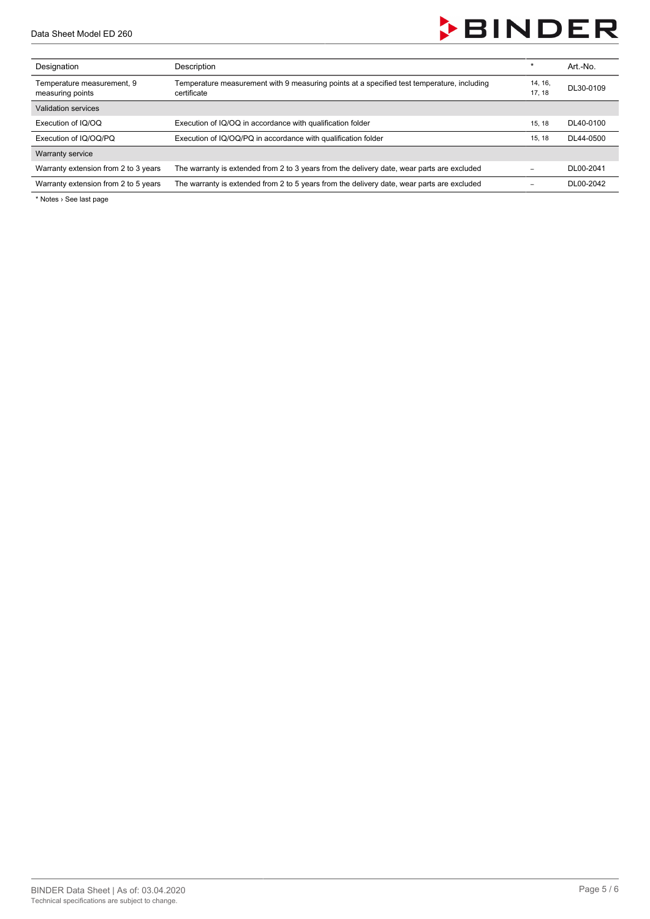

| Designation                                    | Description                                                                                               | $\star$          | Art.-No.  |
|------------------------------------------------|-----------------------------------------------------------------------------------------------------------|------------------|-----------|
| Temperature measurement, 9<br>measuring points | Temperature measurement with 9 measuring points at a specified test temperature, including<br>certificate | 14, 16,<br>17.18 | DL30-0109 |
| Validation services                            |                                                                                                           |                  |           |
| Execution of IQ/OQ                             | Execution of IQ/OQ in accordance with qualification folder                                                | 15, 18           | DL40-0100 |
| Execution of IQ/OQ/PQ                          | Execution of IQ/OQ/PQ in accordance with qualification folder                                             | 15.18            | DL44-0500 |
| Warranty service                               |                                                                                                           |                  |           |
| Warranty extension from 2 to 3 years           | The warranty is extended from 2 to 3 years from the delivery date, wear parts are excluded                |                  | DL00-2041 |
| Warranty extension from 2 to 5 years           | The warranty is extended from 2 to 5 years from the delivery date, wear parts are excluded                |                  | DL00-2042 |

\* Notes › See last page